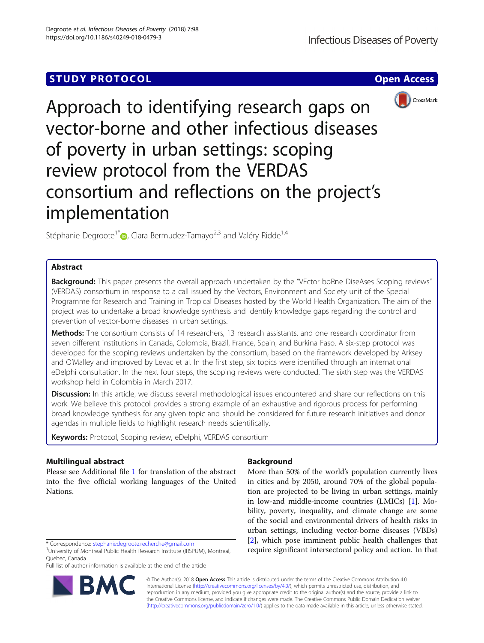# **STUDY PROTOCOL CONSUMING THE CONSUMING OPEN ACCESS**



Approach to identifying research gaps on vector-borne and other infectious diseases of poverty in urban settings: scoping review protocol from the VERDAS consortium and reflections on the project's implementation

Stéphanie Degroote<sup>1\*</sup> <sub>(b)</sub>[,](http://orcid.org/0000-0002-7942-7992) Clara Bermudez-Tamayo<sup>2,3</sup> and Valéry Ridde<sup>1,4</sup>

## Abstract

Background: This paper presents the overall approach undertaken by the "VEctor boRne DiseAses Scoping reviews" (VERDAS) consortium in response to a call issued by the Vectors, Environment and Society unit of the Special Programme for Research and Training in Tropical Diseases hosted by the World Health Organization. The aim of the project was to undertake a broad knowledge synthesis and identify knowledge gaps regarding the control and prevention of vector-borne diseases in urban settings.

Methods: The consortium consists of 14 researchers, 13 research assistants, and one research coordinator from seven different institutions in Canada, Colombia, Brazil, France, Spain, and Burkina Faso. A six-step protocol was developed for the scoping reviews undertaken by the consortium, based on the framework developed by Arksey and O'Malley and improved by Levac et al. In the first step, six topics were identified through an international eDelphi consultation. In the next four steps, the scoping reviews were conducted. The sixth step was the VERDAS workshop held in Colombia in March 2017.

Discussion: In this article, we discuss several methodological issues encountered and share our reflections on this work. We believe this protocol provides a strong example of an exhaustive and rigorous process for performing broad knowledge synthesis for any given topic and should be considered for future research initiatives and donor agendas in multiple fields to highlight research needs scientifically.

Keywords: Protocol, Scoping review, eDelphi, VERDAS consortium

## Multilingual abstract

Please see Additional file [1](#page-7-0) for translation of the abstract into the five official working languages of the United Nations.

## Background

More than 50% of the world's population currently lives in cities and by 2050, around 70% of the global population are projected to be living in urban settings, mainly in low-and middle-income countries (LMICs) [\[1\]](#page-8-0). Mobility, poverty, inequality, and climate change are some of the social and environmental drivers of health risks in urban settings, including vector-borne diseases (VBDs) [[2\]](#page-8-0), which pose imminent public health challenges that require significant intersectoral policy intersectoral policy and that the search intersectoral policy and action. In that \* University of Montreal Public Health Research Institute (IRSPUM), Montreal, the **require signific** 

<sup>1</sup>University of Montreal Public Health Research Institute (IRSPUM), Montreal, Quebec, Canada

Full list of author information is available at the end of the article



© The Author(s). 2018 Open Access This article is distributed under the terms of the Creative Commons Attribution 4.0 International License [\(http://creativecommons.org/licenses/by/4.0/](http://creativecommons.org/licenses/by/4.0/)), which permits unrestricted use, distribution, and reproduction in any medium, provided you give appropriate credit to the original author(s) and the source, provide a link to the Creative Commons license, and indicate if changes were made. The Creative Commons Public Domain Dedication waiver [\(http://creativecommons.org/publicdomain/zero/1.0/](http://creativecommons.org/publicdomain/zero/1.0/)) applies to the data made available in this article, unless otherwise stated.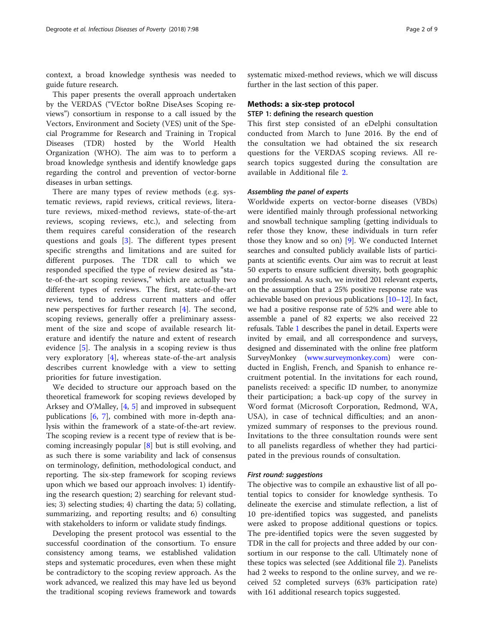context, a broad knowledge synthesis was needed to guide future research.

This paper presents the overall approach undertaken by the VERDAS ("VEctor boRne DiseAses Scoping reviews") consortium in response to a call issued by the Vectors, Environment and Society (VES) unit of the Special Programme for Research and Training in Tropical Diseases (TDR) hosted by the World Health Organization (WHO). The aim was to to perform a broad knowledge synthesis and identify knowledge gaps regarding the control and prevention of vector-borne diseases in urban settings.

There are many types of review methods (e.g. systematic reviews, rapid reviews, critical reviews, literature reviews, mixed-method reviews, state-of-the-art reviews, scoping reviews, etc.), and selecting from them requires careful consideration of the research questions and goals [\[3](#page-8-0)]. The different types present specific strengths and limitations and are suited for different purposes. The TDR call to which we responded specified the type of review desired as "state-of-the-art scoping reviews," which are actually two different types of reviews. The first, state-of-the-art reviews, tend to address current matters and offer new perspectives for further research [\[4](#page-8-0)]. The second, scoping reviews, generally offer a preliminary assessment of the size and scope of available research literature and identify the nature and extent of research evidence [\[5](#page-8-0)]. The analysis in a scoping review is thus very exploratory [\[4](#page-8-0)], whereas state-of-the-art analysis describes current knowledge with a view to setting priorities for future investigation.

We decided to structure our approach based on the theoretical framework for scoping reviews developed by Arksey and O'Malley, [[4,](#page-8-0) [5\]](#page-8-0) and improved in subsequent publications [[6,](#page-8-0) [7](#page-8-0)], combined with more in-depth analysis within the framework of a state-of-the-art review. The scoping review is a recent type of review that is becoming increasingly popular [\[8\]](#page-8-0) but is still evolving, and as such there is some variability and lack of consensus on terminology, definition, methodological conduct, and reporting. The six-step framework for scoping reviews upon which we based our approach involves: 1) identifying the research question; 2) searching for relevant studies; 3) selecting studies; 4) charting the data; 5) collating, summarizing, and reporting results; and 6) consulting with stakeholders to inform or validate study findings.

Developing the present protocol was essential to the successful coordination of the consortium. To ensure consistency among teams, we established validation steps and systematic procedures, even when these might be contradictory to the scoping review approach. As the work advanced, we realized this may have led us beyond the traditional scoping reviews framework and towards

systematic mixed-method reviews, which we will discuss further in the last section of this paper.

#### Methods: a six-step protocol

## STEP 1: defining the research question

This first step consisted of an eDelphi consultation conducted from March to June 2016. By the end of the consultation we had obtained the six research questions for the VERDAS scoping reviews. All research topics suggested during the consultation are available in Additional file [2.](#page-7-0)

#### Assembling the panel of experts

Worldwide experts on vector-borne diseases (VBDs) were identified mainly through professional networking and snowball technique sampling (getting individuals to refer those they know, these individuals in turn refer those they know and so on) [[9\]](#page-8-0). We conducted Internet searches and consulted publicly available lists of participants at scientific events. Our aim was to recruit at least 50 experts to ensure sufficient diversity, both geographic and professional. As such, we invited 201 relevant experts, on the assumption that a 25% positive response rate was achievable based on previous publications [[10](#page-8-0)–[12\]](#page-8-0). In fact, we had a positive response rate of 52% and were able to assemble a panel of 82 experts; we also received 22 refusals. Table [1](#page-2-0) describes the panel in detail. Experts were invited by email, and all correspondence and surveys, designed and disseminated with the online free platform SurveyMonkey [\(www.surveymonkey.com\)](http://www.surveymonkey.com) were conducted in English, French, and Spanish to enhance recruitment potential. In the invitations for each round, panelists received: a specific ID number, to anonymize their participation; a back-up copy of the survey in Word format (Microsoft Corporation, Redmond, WA, USA), in case of technical difficulties; and an anonymized summary of responses to the previous round. Invitations to the three consultation rounds were sent to all panelists regardless of whether they had participated in the previous rounds of consultation.

#### First round: suggestions

The objective was to compile an exhaustive list of all potential topics to consider for knowledge synthesis. To delineate the exercise and stimulate reflection, a list of 10 pre-identified topics was suggested, and panelists were asked to propose additional questions or topics. The pre-identified topics were the seven suggested by TDR in the call for projects and three added by our consortium in our response to the call. Ultimately none of these topics was selected (see Additional file [2\)](#page-7-0). Panelists had 2 weeks to respond to the online survey, and we received 52 completed surveys (63% participation rate) with 161 additional research topics suggested.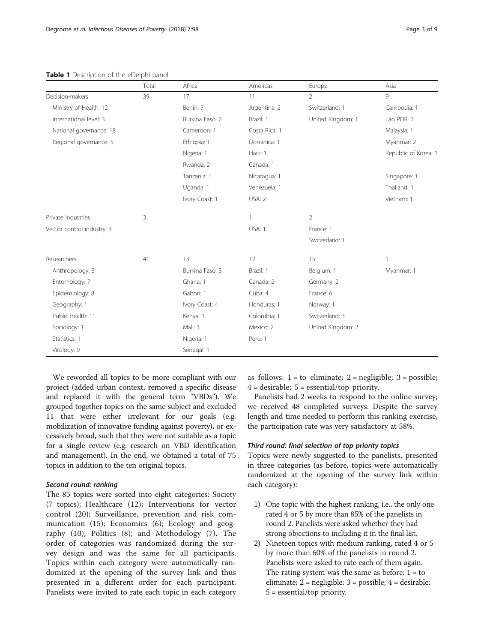## <span id="page-2-0"></span>Table 1 Description of the eDelphi panel

|                            | Total | Africa          | Americas      | Europe            | Asia                 |
|----------------------------|-------|-----------------|---------------|-------------------|----------------------|
| Decision-makers            | 39    | 17              | 11            | $\overline{2}$    | 9                    |
| Ministry of Health: 12     |       | Benin: 7        | Argentina: 2  | Switzerland: 1    | Cambodia: 1          |
| International level: 3     |       | Burkina Faso: 2 | Brazil: 1     | United Kingdom: 1 | Lao PDR: 1           |
| National governance: 18    |       | Cameroon: 1     | Costa Rica: 1 |                   | Malaysia: 1          |
| Regional governance: 5     |       | Ethiopia: 1     | Dominica: 1   |                   | Myanmar: 2           |
|                            |       | Nigeria: 1      | Haiti: 1      |                   | Republic of Korea: 1 |
|                            |       | Rwanda: 2       | Canada: 1     |                   |                      |
|                            |       | Tanzania: 1     | Nicaragua: 1  |                   | Singapore: 1         |
|                            |       | Uganda: 1       | Venezuela: 1  |                   | Thailand: 1          |
|                            |       | Ivory Coast: 1  | USA: 2        |                   | Vietnam: 1           |
| Private industries         | 3     |                 | $\mathbf{1}$  | $\overline{2}$    |                      |
| Vector control industry: 3 |       |                 | USA: 1        | France: 1         |                      |
|                            |       |                 |               | Switzerland: 1    |                      |
| Researchers                | 41    | 13              | 12            | 15                | $\mathbf{1}$         |
| Anthropology: 3            |       | Burkina Faso: 3 | Brazil: 1     | Belgium: 1        | Myanmar: 1           |
| Entomology: 7              |       | Ghana: 1        | Canada: 2     | Germany: 2        |                      |
| Epidemiology: 8            |       | Gabon: 1        | Cuba: 4       | France: 6         |                      |
| Geography: 1               |       | Ivory Coast: 4  | Honduras: 1   | Norway: 1         |                      |
| Public health: 11          |       | Kenya: 1        | Colombia: 1   | Switzerland: 3    |                      |
| Sociology: 1               |       | Mali: 1         | Mexico: 2     | United Kingdom: 2 |                      |
| Statistics: 1              |       | Nigeria: 1      | Peru: 1       |                   |                      |
| Virology: 9                |       | Senegal: 1      |               |                   |                      |

We reworded all topics to be more compliant with our project (added urban context, removed a specific disease and replaced it with the general term "VBDs"). We grouped together topics on the same subject and excluded 11 that were either irrelevant for our goals (e.g. mobilization of innovative funding against poverty), or excessively broad, such that they were not suitable as a topic for a single review (e.g. research on VBD identification and management). In the end, we obtained a total of 75 topics in addition to the ten original topics.

## Second round: ranking

The 85 topics were sorted into eight categories: Society (7 topics); Healthcare (12); Interventions for vector control (20); Surveillance, prevention and risk communication (15); Economics (6); Ecology and geography (10); Politics (8); and Methodology (7). The order of categories was randomized during the survey design and was the same for all participants. Topics within each category were automatically randomized at the opening of the survey link and thus presented in a different order for each participant. Panelists were invited to rate each topic in each category

as follows:  $1 =$  to eliminate;  $2 =$  negligible;  $3 =$  possible;  $4 =$  desirable;  $5 =$  essential/top priority.

Panelists had 2 weeks to respond to the online survey; we received 48 completed surveys. Despite the survey length and time needed to perform this ranking exercise, the participation rate was very satisfactory at 58%.

## Third round: final selection of top priority topics

Topics were newly suggested to the panelists, presented in three categories (as before, topics were automatically randomized at the opening of the survey link within each category):

- 1) One topic with the highest ranking, i.e., the only one rated 4 or 5 by more than 85% of the panelists in round 2. Panelists were asked whether they had strong objections to including it in the final list.
- 2) Nineteen topics with medium ranking, rated 4 or 5 by more than 60% of the panelists in round 2. Panelists were asked to rate each of them again. The rating system was the same as before:  $1 =$  to eliminate;  $2 =$  negligible;  $3 =$  possible;  $4 =$  desirable; 5 = essential/top priority.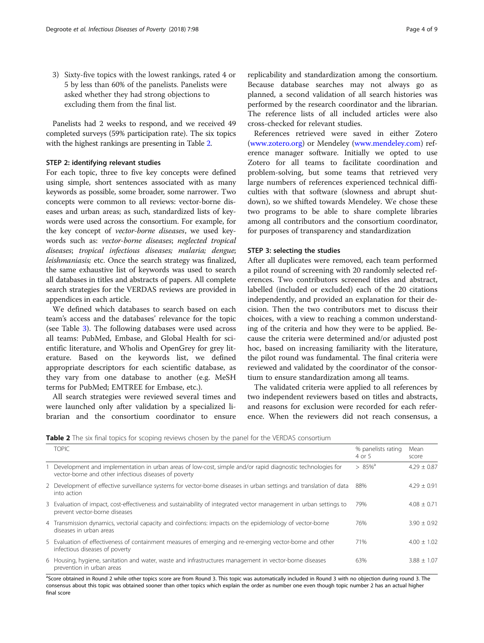3) Sixty-five topics with the lowest rankings, rated 4 or 5 by less than 60% of the panelists. Panelists were asked whether they had strong objections to excluding them from the final list.

Panelists had 2 weeks to respond, and we received 49 completed surveys (59% participation rate). The six topics with the highest rankings are presenting in Table 2.

## STEP 2: identifying relevant studies

For each topic, three to five key concepts were defined using simple, short sentences associated with as many keywords as possible, some broader, some narrower. Two concepts were common to all reviews: vector-borne diseases and urban areas; as such, standardized lists of keywords were used across the consortium. For example, for the key concept of vector-borne diseases, we used keywords such as: vector-borne diseases; neglected tropical diseases; tropical infectious diseases; malaria; dengue; leishmaniasis; etc. Once the search strategy was finalized, the same exhaustive list of keywords was used to search all databases in titles and abstracts of papers. All complete search strategies for the VERDAS reviews are provided in appendices in each article.

We defined which databases to search based on each team's access and the databases' relevance for the topic (see Table [3\)](#page-4-0). The following databases were used across all teams: PubMed, Embase, and Global Health for scientific literature, and Wholis and OpenGrey for grey literature. Based on the keywords list, we defined appropriate descriptors for each scientific database, as they vary from one database to another (e.g. MeSH terms for PubMed; EMTREE for Embase, etc.).

All search strategies were reviewed several times and were launched only after validation by a specialized librarian and the consortium coordinator to ensure

replicability and standardization among the consortium. Because database searches may not always go as planned, a second validation of all search histories was performed by the research coordinator and the librarian. The reference lists of all included articles were also cross-checked for relevant studies.

References retrieved were saved in either Zotero ([www.zotero.org](http://www.zotero.org)) or Mendeley [\(www.mendeley.com\)](http://www.mendeley.com) reference manager software. Initially we opted to use Zotero for all teams to facilitate coordination and problem-solving, but some teams that retrieved very large numbers of references experienced technical difficulties with that software (slowness and abrupt shutdown), so we shifted towards Mendeley. We chose these two programs to be able to share complete libraries among all contributors and the consortium coordinator, for purposes of transparency and standardization

#### STEP 3: selecting the studies

After all duplicates were removed, each team performed a pilot round of screening with 20 randomly selected references. Two contributors screened titles and abstract, labelled (included or excluded) each of the 20 citations independently, and provided an explanation for their decision. Then the two contributors met to discuss their choices, with a view to reaching a common understanding of the criteria and how they were to be applied. Because the criteria were determined and/or adjusted post hoc, based on increasing familiarity with the literature, the pilot round was fundamental. The final criteria were reviewed and validated by the coordinator of the consortium to ensure standardization among all teams.

The validated criteria were applied to all references by two independent reviewers based on titles and abstracts, and reasons for exclusion were recorded for each reference. When the reviewers did not reach consensus, a

Table 2 The six final topics for scoping reviews chosen by the panel for the VERDAS consortium

| <b>TOPIC</b>                                                                                                                                                        | % panelists rating<br>4 or 5 | Mean<br>score   |
|---------------------------------------------------------------------------------------------------------------------------------------------------------------------|------------------------------|-----------------|
| Development and implementation in urban areas of low-cost, simple and/or rapid diagnostic technologies for<br>vector-borne and other infectious diseases of poverty | $> 85%$ <sup>a</sup>         | $4.29 + 0.87$   |
| 2 Development of effective surveillance systems for vector-borne diseases in urban settings and translation of data<br>into action                                  | 88%                          | $4.29 + 0.91$   |
| 3 Evaluation of impact, cost-effectiveness and sustainability of integrated vector management in urban settings to<br>prevent vector-borne diseases                 | 79%                          | $4.08 \pm 0.71$ |
| 4 Transmission dynamics, vectorial capacity and coinfections: impacts on the epidemiology of vector-borne<br>diseases in urban areas                                | 76%                          | $3.90 \pm 0.92$ |
| 5 Evaluation of effectiveness of containment measures of emerging and re-emerging vector-borne and other<br>infectious diseases of poverty                          | 71%                          | $4.00 \pm 1.02$ |
| 6 Housing, hygiene, sanitation and water, waste and infrastructures management in vector-borne diseases<br>prevention in urban areas                                | 63%                          | $3.88 + 1.07$   |

<sup>a</sup>Score obtained in Round 2 while other topics score are from Round 3. This topic was automatically included in Round 3 with no objection during round 3. The consensus about this topic was obtained sooner than other topics which explain the order as number one even though topic number 2 has an actual higher final score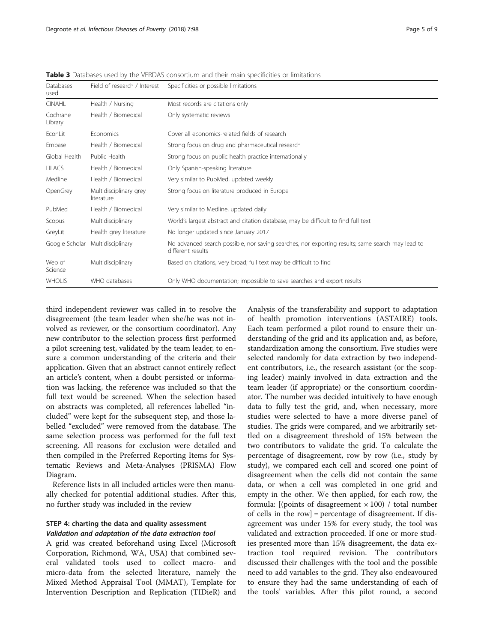| Databases<br>used   | Field of research / Interest         | Specificities or possible limitations                                                                                 |
|---------------------|--------------------------------------|-----------------------------------------------------------------------------------------------------------------------|
| CINAHL              | Health / Nursing                     | Most records are citations only                                                                                       |
| Cochrane<br>Library | Health / Biomedical                  | Only systematic reviews                                                                                               |
| EconLit             | Economics                            | Cover all economics-related fields of research                                                                        |
| Embase              | Health / Biomedical                  | Strong focus on drug and pharmaceutical research                                                                      |
| Global Health       | Public Health                        | Strong focus on public health practice internationally                                                                |
| <b>LILACS</b>       | Health / Biomedical                  | Only Spanish-speaking literature                                                                                      |
| Medline             | Health / Biomedical                  | Very similar to PubMed, updated weekly                                                                                |
| OpenGrey            | Multidisciplinary grey<br>literature | Strong focus on literature produced in Europe                                                                         |
| PubMed              | Health / Biomedical                  | Very similar to Medline, updated daily                                                                                |
| Scopus              | Multidisciplinary                    | World's largest abstract and citation database, may be difficult to find full text                                    |
| GreyLit             | Health grey literature               | No longer updated since January 2017                                                                                  |
| Google Scholar      | Multidisciplinary                    | No advanced search possible, nor saving searches, nor exporting results; same search may lead to<br>different results |
| Web of<br>Science   | Multidisciplinary                    | Based on citations, very broad; full text may be difficult to find                                                    |
| <b>WHOLIS</b>       | WHO databases                        | Only WHO documentation; impossible to save searches and export results                                                |

<span id="page-4-0"></span>Table 3 Databases used by the VERDAS consortium and their main specificities or limitations

third independent reviewer was called in to resolve the disagreement (the team leader when she/he was not involved as reviewer, or the consortium coordinator). Any new contributor to the selection process first performed a pilot screening test, validated by the team leader, to ensure a common understanding of the criteria and their application. Given that an abstract cannot entirely reflect an article's content, when a doubt persisted or information was lacking, the reference was included so that the full text would be screened. When the selection based on abstracts was completed, all references labelled "included" were kept for the subsequent step, and those labelled "excluded" were removed from the database. The same selection process was performed for the full text screening. All reasons for exclusion were detailed and then compiled in the Preferred Reporting Items for Systematic Reviews and Meta-Analyses (PRISMA) Flow Diagram.

Reference lists in all included articles were then manually checked for potential additional studies. After this, no further study was included in the review

## STEP 4: charting the data and quality assessment Validation and adaptation of the data extraction tool

A grid was created beforehand using Excel (Microsoft Corporation, Richmond, WA, USA) that combined several validated tools used to collect macro- and micro-data from the selected literature, namely the Mixed Method Appraisal Tool (MMAT), Template for Intervention Description and Replication (TIDieR) and

Analysis of the transferability and support to adaptation of health promotion interventions (ASTAIRE) tools. Each team performed a pilot round to ensure their understanding of the grid and its application and, as before, standardization among the consortium. Five studies were selected randomly for data extraction by two independent contributors, i.e., the research assistant (or the scoping leader) mainly involved in data extraction and the team leader (if appropriate) or the consortium coordinator. The number was decided intuitively to have enough data to fully test the grid, and, when necessary, more studies were selected to have a more diverse panel of studies. The grids were compared, and we arbitrarily settled on a disagreement threshold of 15% between the two contributors to validate the grid. To calculate the percentage of disagreement, row by row (i.e., study by study), we compared each cell and scored one point of disagreement when the cells did not contain the same data, or when a cell was completed in one grid and empty in the other. We then applied, for each row, the formula: [(points of disagreement  $\times$  100) / total number of cells in the row] = percentage of disagreement. If disagreement was under 15% for every study, the tool was validated and extraction proceeded. If one or more studies presented more than 15% disagreement, the data extraction tool required revision. The contributors discussed their challenges with the tool and the possible need to add variables to the grid. They also endeavoured to ensure they had the same understanding of each of the tools' variables. After this pilot round, a second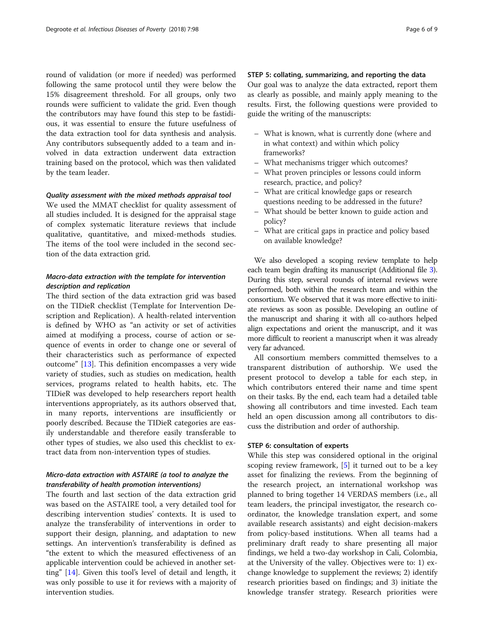round of validation (or more if needed) was performed following the same protocol until they were below the 15% disagreement threshold. For all groups, only two rounds were sufficient to validate the grid. Even though the contributors may have found this step to be fastidious, it was essential to ensure the future usefulness of the data extraction tool for data synthesis and analysis. Any contributors subsequently added to a team and involved in data extraction underwent data extraction training based on the protocol, which was then validated by the team leader.

## Quality assessment with the mixed methods appraisal tool

We used the MMAT checklist for quality assessment of all studies included. It is designed for the appraisal stage of complex systematic literature reviews that include qualitative, quantitative, and mixed-methods studies. The items of the tool were included in the second section of the data extraction grid.

## Macro-data extraction with the template for intervention description and replication

The third section of the data extraction grid was based on the TIDieR checklist (Template for Intervention Description and Replication). A health-related intervention is defined by WHO as "an activity or set of activities aimed at modifying a process, course of action or sequence of events in order to change one or several of their characteristics such as performance of expected outcome" [[13\]](#page-8-0). This definition encompasses a very wide variety of studies, such as studies on medication, health services, programs related to health habits, etc. The TIDieR was developed to help researchers report health interventions appropriately, as its authors observed that, in many reports, interventions are insufficiently or poorly described. Because the TIDieR categories are easily understandable and therefore easily transferable to other types of studies, we also used this checklist to extract data from non-intervention types of studies.

## Micro-data extraction with ASTAIRE (a tool to analyze the transferability of health promotion interventions)

The fourth and last section of the data extraction grid was based on the ASTAIRE tool, a very detailed tool for describing intervention studies' contexts. It is used to analyze the transferability of interventions in order to support their design, planning, and adaptation to new settings. An intervention's transferability is defined as "the extent to which the measured effectiveness of an applicable intervention could be achieved in another setting" [\[14\]](#page-8-0). Given this tool's level of detail and length, it was only possible to use it for reviews with a majority of intervention studies.

## STEP 5: collating, summarizing, and reporting the data

Our goal was to analyze the data extracted, report them as clearly as possible, and mainly apply meaning to the results. First, the following questions were provided to guide the writing of the manuscripts:

- What is known, what is currently done (where and in what context) and within which policy frameworks?
- What mechanisms trigger which outcomes?
- What proven principles or lessons could inform research, practice, and policy?
- What are critical knowledge gaps or research questions needing to be addressed in the future?
- What should be better known to guide action and policy?
- What are critical gaps in practice and policy based on available knowledge?

We also developed a scoping review template to help each team begin drafting its manuscript (Additional file [3](#page-7-0)). During this step, several rounds of internal reviews were performed, both within the research team and within the consortium. We observed that it was more effective to initiate reviews as soon as possible. Developing an outline of the manuscript and sharing it with all co-authors helped align expectations and orient the manuscript, and it was more difficult to reorient a manuscript when it was already very far advanced.

All consortium members committed themselves to a transparent distribution of authorship. We used the present protocol to develop a table for each step, in which contributors entered their name and time spent on their tasks. By the end, each team had a detailed table showing all contributors and time invested. Each team held an open discussion among all contributors to discuss the distribution and order of authorship.

#### STEP 6: consultation of experts

While this step was considered optional in the original scoping review framework, [[5\]](#page-8-0) it turned out to be a key asset for finalizing the reviews. From the beginning of the research project, an international workshop was planned to bring together 14 VERDAS members (i.e., all team leaders, the principal investigator, the research coordinator, the knowledge translation expert, and some available research assistants) and eight decision-makers from policy-based institutions. When all teams had a preliminary draft ready to share presenting all major findings, we held a two-day workshop in Cali, Colombia, at the University of the valley. Objectives were to: 1) exchange knowledge to supplement the reviews; 2) identify research priorities based on findings; and 3) initiate the knowledge transfer strategy. Research priorities were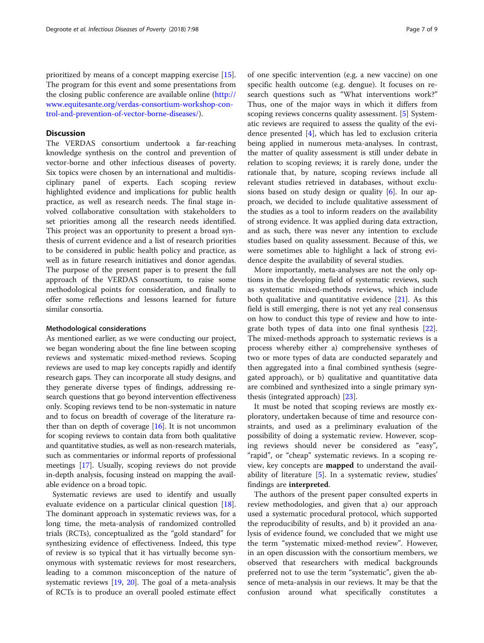prioritized by means of a concept mapping exercise [\[15](#page-8-0)]. The program for this event and some presentations from the closing public conference are available online [\(http://](http://www.equitesante.org/verdas-consortium-workshop-control-and-prevention-of-vector-borne-diseases/) [www.equitesante.org/verdas-consortium-workshop-con](http://www.equitesante.org/verdas-consortium-workshop-control-and-prevention-of-vector-borne-diseases/)[trol-and-prevention-of-vector-borne-diseases/\)](http://www.equitesante.org/verdas-consortium-workshop-control-and-prevention-of-vector-borne-diseases/).

## **Discussion**

The VERDAS consortium undertook a far-reaching knowledge synthesis on the control and prevention of vector-borne and other infectious diseases of poverty. Six topics were chosen by an international and multidisciplinary panel of experts. Each scoping review highlighted evidence and implications for public health practice, as well as research needs. The final stage involved collaborative consultation with stakeholders to set priorities among all the research needs identified. This project was an opportunity to present a broad synthesis of current evidence and a list of research priorities to be considered in public health policy and practice, as well as in future research initiatives and donor agendas. The purpose of the present paper is to present the full approach of the VERDAS consortium, to raise some methodological points for consideration, and finally to offer some reflections and lessons learned for future similar consortia.

#### Methodological considerations

As mentioned earlier, as we were conducting our project, we began wondering about the fine line between scoping reviews and systematic mixed-method reviews. Scoping reviews are used to map key concepts rapidly and identify research gaps. They can incorporate all study designs, and they generate diverse types of findings, addressing research questions that go beyond intervention effectiveness only. Scoping reviews tend to be non-systematic in nature and to focus on breadth of coverage of the literature rather than on depth of coverage  $[16]$ . It is not uncommon for scoping reviews to contain data from both qualitative and quantitative studies, as well as non-research materials, such as commentaries or informal reports of professional meetings [[17](#page-8-0)]. Usually, scoping reviews do not provide in-depth analysis, focusing instead on mapping the available evidence on a broad topic.

Systematic reviews are used to identify and usually evaluate evidence on a particular clinical question [\[18](#page-8-0)]. The dominant approach in systematic reviews was, for a long time, the meta-analysis of randomized controlled trials (RCTs), conceptualized as the "gold standard" for synthesizing evidence of effectiveness. Indeed, this type of review is so typical that it has virtually become synonymous with systematic reviews for most researchers, leading to a common misconception of the nature of systematic reviews [\[19,](#page-8-0) [20\]](#page-8-0). The goal of a meta-analysis of RCTs is to produce an overall pooled estimate effect

of one specific intervention (e.g. a new vaccine) on one specific health outcome (e.g. dengue). It focuses on research questions such as "What interventions work?" Thus, one of the major ways in which it differs from scoping reviews concerns quality assessment. [\[5](#page-8-0)] Systematic reviews are required to assess the quality of the evidence presented [\[4](#page-8-0)], which has led to exclusion criteria being applied in numerous meta-analyses. In contrast, the matter of quality assessment is still under debate in relation to scoping reviews; it is rarely done, under the rationale that, by nature, scoping reviews include all relevant studies retrieved in databases, without exclusions based on study design or quality  $[6]$  $[6]$  $[6]$ . In our approach, we decided to include qualitative assessment of the studies as a tool to inform readers on the availability of strong evidence. It was applied during data extraction, and as such, there was never any intention to exclude studies based on quality assessment. Because of this, we were sometimes able to highlight a lack of strong evidence despite the availability of several studies.

More importantly, meta-analyses are not the only options in the developing field of systematic reviews, such as systematic mixed-methods reviews, which include both qualitative and quantitative evidence [\[21\]](#page-8-0). As this field is still emerging, there is not yet any real consensus on how to conduct this type of review and how to integrate both types of data into one final synthesis [\[22](#page-8-0)]. The mixed-methods approach to systematic reviews is a process whereby either a) comprehensive syntheses of two or more types of data are conducted separately and then aggregated into a final combined synthesis (segregated approach), or b) qualitative and quantitative data are combined and synthesized into a single primary synthesis (integrated approach) [[23\]](#page-8-0).

It must be noted that scoping reviews are mostly exploratory, undertaken because of time and resource constraints, and used as a preliminary evaluation of the possibility of doing a systematic review. However, scoping reviews should never be considered as "easy", "rapid", or "cheap" systematic reviews. In a scoping review, key concepts are mapped to understand the availability of literature [[5](#page-8-0)]. In a systematic review, studies' findings are interpreted.

The authors of the present paper consulted experts in review methodologies, and given that a) our approach used a systematic procedural protocol, which supported the reproducibility of results, and b) it provided an analysis of evidence found, we concluded that we might use the term "systematic mixed-method review". However, in an open discussion with the consortium members, we observed that researchers with medical backgrounds preferred not to use the term "systematic", given the absence of meta-analysis in our reviews. It may be that the confusion around what specifically constitutes a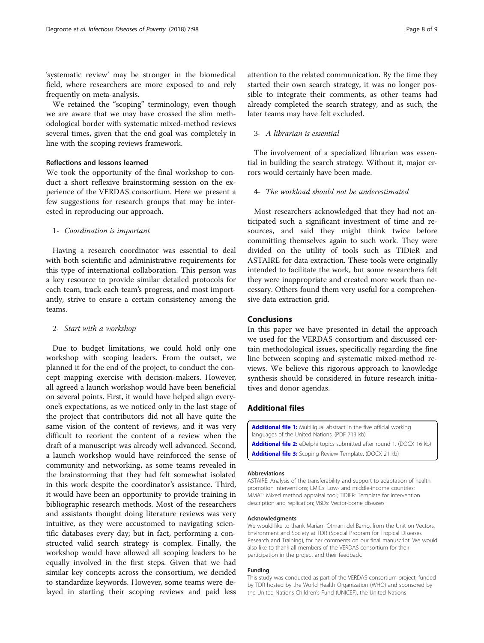<span id="page-7-0"></span>'systematic review' may be stronger in the biomedical field, where researchers are more exposed to and rely frequently on meta-analysis.

We retained the "scoping" terminology, even though we are aware that we may have crossed the slim methodological border with systematic mixed-method reviews several times, given that the end goal was completely in line with the scoping reviews framework.

### Reflections and lessons learned

We took the opportunity of the final workshop to conduct a short reflexive brainstorming session on the experience of the VERDAS consortium. Here we present a few suggestions for research groups that may be interested in reproducing our approach.

#### 1- Coordination is important

Having a research coordinator was essential to deal with both scientific and administrative requirements for this type of international collaboration. This person was a key resource to provide similar detailed protocols for each team, track each team's progress, and most importantly, strive to ensure a certain consistency among the teams.

### 2- Start with a workshop

Due to budget limitations, we could hold only one workshop with scoping leaders. From the outset, we planned it for the end of the project, to conduct the concept mapping exercise with decision-makers. However, all agreed a launch workshop would have been beneficial on several points. First, it would have helped align everyone's expectations, as we noticed only in the last stage of the project that contributors did not all have quite the same vision of the content of reviews, and it was very difficult to reorient the content of a review when the draft of a manuscript was already well advanced. Second, a launch workshop would have reinforced the sense of community and networking, as some teams revealed in the brainstorming that they had felt somewhat isolated in this work despite the coordinator's assistance. Third, it would have been an opportunity to provide training in bibliographic research methods. Most of the researchers and assistants thought doing literature reviews was very intuitive, as they were accustomed to navigating scientific databases every day; but in fact, performing a constructed valid search strategy is complex. Finally, the workshop would have allowed all scoping leaders to be equally involved in the first steps. Given that we had similar key concepts across the consortium, we decided to standardize keywords. However, some teams were delayed in starting their scoping reviews and paid less

attention to the related communication. By the time they started their own search strategy, it was no longer possible to integrate their comments, as other teams had already completed the search strategy, and as such, the later teams may have felt excluded.

## 3- A librarian is essential

The involvement of a specialized librarian was essential in building the search strategy. Without it, major errors would certainly have been made.

## 4- The workload should not be underestimated

Most researchers acknowledged that they had not anticipated such a significant investment of time and resources, and said they might think twice before committing themselves again to such work. They were divided on the utility of tools such as TIDieR and ASTAIRE for data extraction. These tools were originally intended to facilitate the work, but some researchers felt they were inappropriate and created more work than necessary. Others found them very useful for a comprehensive data extraction grid.

## Conclusions

In this paper we have presented in detail the approach we used for the VERDAS consortium and discussed certain methodological issues, specifically regarding the fine line between scoping and systematic mixed-method reviews. We believe this rigorous approach to knowledge synthesis should be considered in future research initiatives and donor agendas.

## Additional files

| <b>Additional file 1:</b> Multiliqual abstract in the five official working<br>languages of the United Nations. (PDF 713 kb) |
|------------------------------------------------------------------------------------------------------------------------------|
| <b>Additional file 2:</b> eDelphi topics submitted after round 1. (DOCX 16 kb)                                               |
| <b>Additional file 3:</b> Scoping Review Template. (DOCX 21 kb)                                                              |

#### Abbreviations

ASTAIRE: Analysis of the transferability and support to adaptation of health promotion interventions; LMICs: Low- and middle-income countries; MMAT: Mixed method appraisal tool; TIDiER: Template for intervention description and replication; VBDs: Vector-borne diseases

#### Acknowledgments

We would like to thank Mariam Otmani del Barrio, from the Unit on Vectors, Environment and Society at TDR (Special Program for Tropical Diseases Research and Training), for her comments on our final manuscript. We would also like to thank all members of the VERDAS consortium for their participation in the project and their feedback.

#### Funding

This study was conducted as part of the VERDAS consortium project, funded by TDR hosted by the World Health Organization (WHO) and sponsored by the United Nations Children's Fund (UNICEF), the United Nations